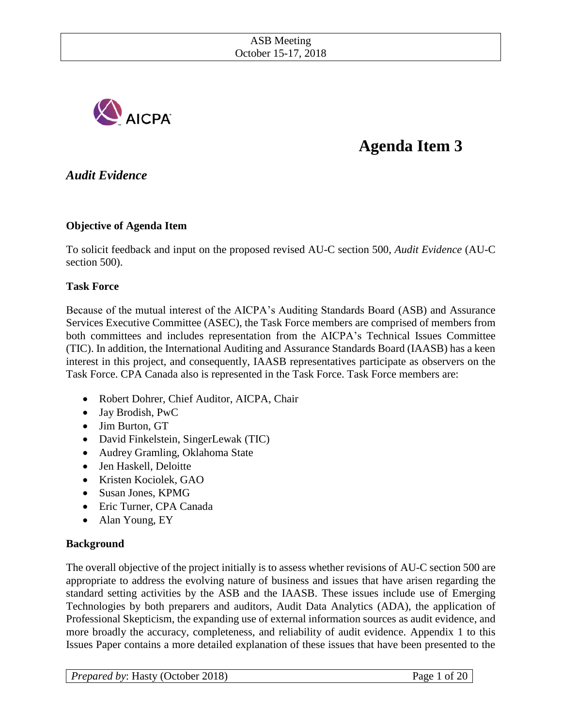

# **Agenda Item 3**

# *Audit Evidence*

#### **Objective of Agenda Item**

To solicit feedback and input on the proposed revised AU-C section 500, *Audit Evidence* (AU-C section 500).

#### **Task Force**

Because of the mutual interest of the AICPA's Auditing Standards Board (ASB) and Assurance Services Executive Committee (ASEC), the Task Force members are comprised of members from both committees and includes representation from the AICPA's Technical Issues Committee (TIC). In addition, the International Auditing and Assurance Standards Board (IAASB) has a keen interest in this project, and consequently, IAASB representatives participate as observers on the Task Force. CPA Canada also is represented in the Task Force. Task Force members are:

- Robert Dohrer, Chief Auditor, AICPA, Chair
- Jay Brodish, PwC
- Jim Burton, GT
- David Finkelstein, SingerLewak (TIC)
- Audrey Gramling, Oklahoma State
- Jen Haskell, Deloitte
- Kristen Kociolek, GAO
- Susan Jones, KPMG
- Eric Turner, CPA Canada
- Alan Young, EY

#### **Background**

The overall objective of the project initially is to assess whether revisions of AU-C section 500 are appropriate to address the evolving nature of business and issues that have arisen regarding the standard setting activities by the ASB and the IAASB. These issues include use of Emerging Technologies by both preparers and auditors, Audit Data Analytics (ADA), the application of Professional Skepticism, the expanding use of external information sources as audit evidence, and more broadly the accuracy, completeness, and reliability of audit evidence. Appendix 1 to this Issues Paper contains a more detailed explanation of these issues that have been presented to the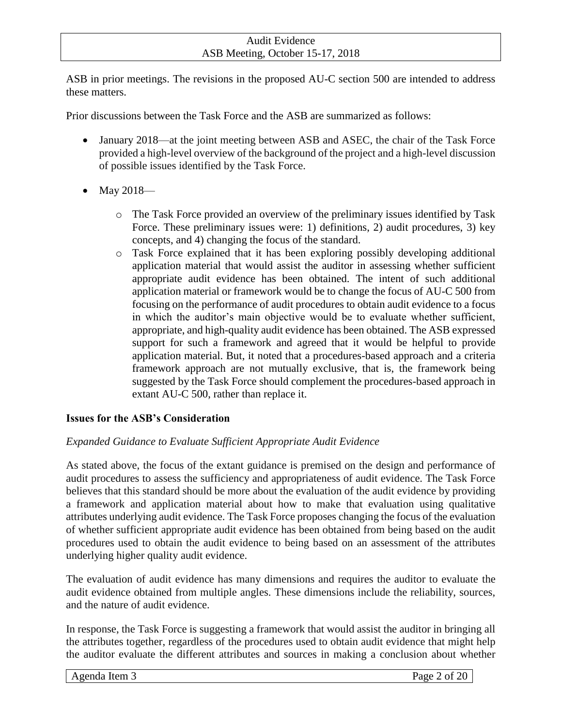ASB in prior meetings. The revisions in the proposed AU-C section 500 are intended to address these matters.

Prior discussions between the Task Force and the ASB are summarized as follows:

- January 2018—at the joint meeting between ASB and ASEC, the chair of the Task Force provided a high-level overview of the background of the project and a high-level discussion of possible issues identified by the Task Force.
- May 2018
	- o The Task Force provided an overview of the preliminary issues identified by Task Force. These preliminary issues were: 1) definitions, 2) audit procedures, 3) key concepts, and 4) changing the focus of the standard.
	- o Task Force explained that it has been exploring possibly developing additional application material that would assist the auditor in assessing whether sufficient appropriate audit evidence has been obtained. The intent of such additional application material or framework would be to change the focus of AU-C 500 from focusing on the performance of audit procedures to obtain audit evidence to a focus in which the auditor's main objective would be to evaluate whether sufficient, appropriate, and high-quality audit evidence has been obtained. The ASB expressed support for such a framework and agreed that it would be helpful to provide application material. But, it noted that a procedures-based approach and a criteria framework approach are not mutually exclusive, that is, the framework being suggested by the Task Force should complement the procedures-based approach in extant AU-C 500, rather than replace it.

# **Issues for the ASB's Consideration**

# *Expanded Guidance to Evaluate Sufficient Appropriate Audit Evidence*

As stated above, the focus of the extant guidance is premised on the design and performance of audit procedures to assess the sufficiency and appropriateness of audit evidence. The Task Force believes that this standard should be more about the evaluation of the audit evidence by providing a framework and application material about how to make that evaluation using qualitative attributes underlying audit evidence. The Task Force proposes changing the focus of the evaluation of whether sufficient appropriate audit evidence has been obtained from being based on the audit procedures used to obtain the audit evidence to being based on an assessment of the attributes underlying higher quality audit evidence.

The evaluation of audit evidence has many dimensions and requires the auditor to evaluate the audit evidence obtained from multiple angles. These dimensions include the reliability, sources, and the nature of audit evidence.

In response, the Task Force is suggesting a framework that would assist the auditor in bringing all the attributes together, regardless of the procedures used to obtain audit evidence that might help the auditor evaluate the different attributes and sources in making a conclusion about whether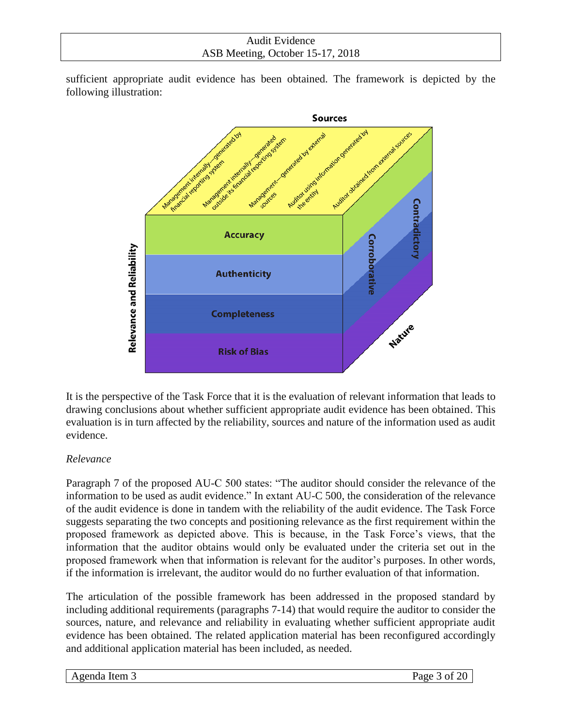sufficient appropriate audit evidence has been obtained. The framework is depicted by the following illustration:



It is the perspective of the Task Force that it is the evaluation of relevant information that leads to drawing conclusions about whether sufficient appropriate audit evidence has been obtained. This evaluation is in turn affected by the reliability, sources and nature of the information used as audit evidence.

#### *Relevance*

Paragraph 7 of the proposed AU-C 500 states: "The auditor should consider the relevance of the information to be used as audit evidence." In extant AU-C 500, the consideration of the relevance of the audit evidence is done in tandem with the reliability of the audit evidence. The Task Force suggests separating the two concepts and positioning relevance as the first requirement within the proposed framework as depicted above. This is because, in the Task Force's views, that the information that the auditor obtains would only be evaluated under the criteria set out in the proposed framework when that information is relevant for the auditor's purposes. In other words, if the information is irrelevant, the auditor would do no further evaluation of that information.

The articulation of the possible framework has been addressed in the proposed standard by including additional requirements (paragraphs 7-14) that would require the auditor to consider the sources, nature, and relevance and reliability in evaluating whether sufficient appropriate audit evidence has been obtained. The related application material has been reconfigured accordingly and additional application material has been included, as needed.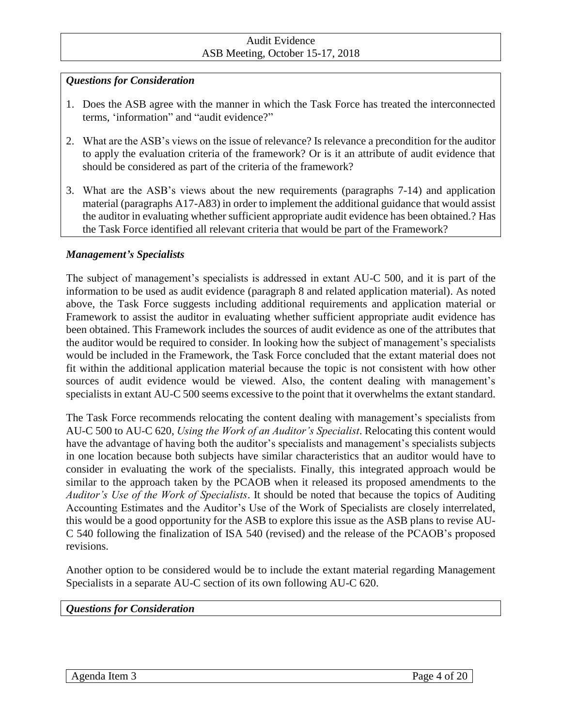#### *Questions for Consideration*

- 1. Does the ASB agree with the manner in which the Task Force has treated the interconnected terms, 'information" and "audit evidence?"
- 2. What are the ASB's views on the issue of relevance? Is relevance a precondition for the auditor to apply the evaluation criteria of the framework? Or is it an attribute of audit evidence that should be considered as part of the criteria of the framework?
- 3. What are the ASB's views about the new requirements (paragraphs 7-14) and application material (paragraphs A17-A83) in order to implement the additional guidance that would assist the auditor in evaluating whether sufficient appropriate audit evidence has been obtained.? Has the Task Force identified all relevant criteria that would be part of the Framework?

#### *Management's Specialists*

The subject of management's specialists is addressed in extant AU-C 500, and it is part of the information to be used as audit evidence (paragraph 8 and related application material). As noted above, the Task Force suggests including additional requirements and application material or Framework to assist the auditor in evaluating whether sufficient appropriate audit evidence has been obtained. This Framework includes the sources of audit evidence as one of the attributes that the auditor would be required to consider. In looking how the subject of management's specialists would be included in the Framework, the Task Force concluded that the extant material does not fit within the additional application material because the topic is not consistent with how other sources of audit evidence would be viewed. Also, the content dealing with management's specialists in extant AU-C 500 seems excessive to the point that it overwhelms the extant standard.

The Task Force recommends relocating the content dealing with management's specialists from AU-C 500 to AU-C 620, *Using the Work of an Auditor's Specialist*. Relocating this content would have the advantage of having both the auditor's specialists and management's specialists subjects in one location because both subjects have similar characteristics that an auditor would have to consider in evaluating the work of the specialists. Finally, this integrated approach would be similar to the approach taken by the PCAOB when it released its proposed amendments to the *Auditor's Use of the Work of Specialists*. It should be noted that because the topics of Auditing Accounting Estimates and the Auditor's Use of the Work of Specialists are closely interrelated, this would be a good opportunity for the ASB to explore this issue as the ASB plans to revise AU-C 540 following the finalization of ISA 540 (revised) and the release of the PCAOB's proposed revisions.

Another option to be considered would be to include the extant material regarding Management Specialists in a separate AU-C section of its own following AU-C 620.

#### *Questions for Consideration*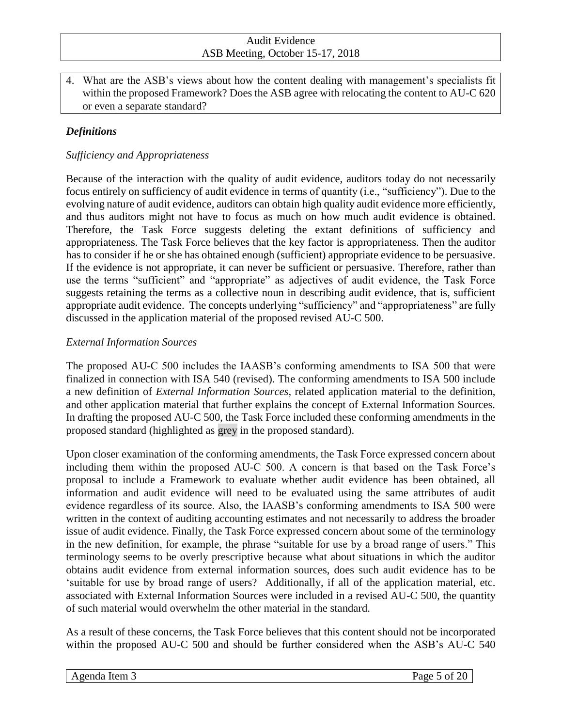4. What are the ASB's views about how the content dealing with management's specialists fit within the proposed Framework? Does the ASB agree with relocating the content to AU-C 620 or even a separate standard?

# *Definitions*

#### *Sufficiency and Appropriateness*

Because of the interaction with the quality of audit evidence, auditors today do not necessarily focus entirely on sufficiency of audit evidence in terms of quantity (i.e., "sufficiency"). Due to the evolving nature of audit evidence, auditors can obtain high quality audit evidence more efficiently, and thus auditors might not have to focus as much on how much audit evidence is obtained. Therefore, the Task Force suggests deleting the extant definitions of sufficiency and appropriateness. The Task Force believes that the key factor is appropriateness. Then the auditor has to consider if he or she has obtained enough (sufficient) appropriate evidence to be persuasive. If the evidence is not appropriate, it can never be sufficient or persuasive. Therefore, rather than use the terms "sufficient" and "appropriate" as adjectives of audit evidence, the Task Force suggests retaining the terms as a collective noun in describing audit evidence, that is, sufficient appropriate audit evidence. The concepts underlying "sufficiency" and "appropriateness" are fully discussed in the application material of the proposed revised AU-C 500.

#### *External Information Sources*

The proposed AU-C 500 includes the IAASB's conforming amendments to ISA 500 that were finalized in connection with ISA 540 (revised). The conforming amendments to ISA 500 include a new definition of *External Information Sources*, related application material to the definition, and other application material that further explains the concept of External Information Sources. In drafting the proposed AU-C 500, the Task Force included these conforming amendments in the proposed standard (highlighted as grey in the proposed standard).

Upon closer examination of the conforming amendments, the Task Force expressed concern about including them within the proposed AU-C 500. A concern is that based on the Task Force's proposal to include a Framework to evaluate whether audit evidence has been obtained, all information and audit evidence will need to be evaluated using the same attributes of audit evidence regardless of its source. Also, the IAASB's conforming amendments to ISA 500 were written in the context of auditing accounting estimates and not necessarily to address the broader issue of audit evidence. Finally, the Task Force expressed concern about some of the terminology in the new definition, for example, the phrase "suitable for use by a broad range of users." This terminology seems to be overly prescriptive because what about situations in which the auditor obtains audit evidence from external information sources, does such audit evidence has to be 'suitable for use by broad range of users? Additionally, if all of the application material, etc. associated with External Information Sources were included in a revised AU-C 500, the quantity of such material would overwhelm the other material in the standard.

As a result of these concerns, the Task Force believes that this content should not be incorporated within the proposed AU-C 500 and should be further considered when the ASB's AU-C 540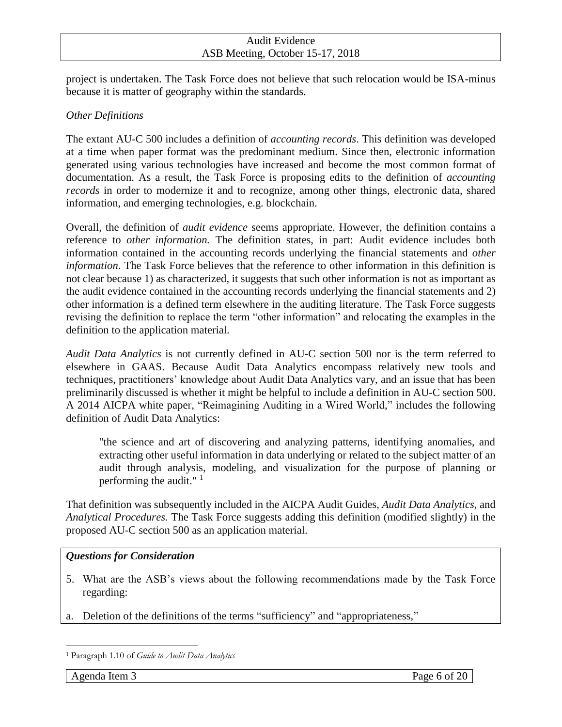project is undertaken. The Task Force does not believe that such relocation would be ISA-minus because it is matter of geography within the standards.

#### *Other Definitions*

The extant AU-C 500 includes a definition of *accounting records*. This definition was developed at a time when paper format was the predominant medium. Since then, electronic information generated using various technologies have increased and become the most common format of documentation. As a result, the Task Force is proposing edits to the definition of *accounting records* in order to modernize it and to recognize, among other things, electronic data, shared information, and emerging technologies, e.g. blockchain.

Overall, the definition of *audit evidence* seems appropriate. However, the definition contains a reference to *other information.* The definition states, in part: Audit evidence includes both information contained in the accounting records underlying the financial statements and *other information*. The Task Force believes that the reference to other information in this definition is not clear because 1) as characterized, it suggests that such other information is not as important as the audit evidence contained in the accounting records underlying the financial statements and 2) other information is a defined term elsewhere in the auditing literature. The Task Force suggests revising the definition to replace the term "other information" and relocating the examples in the definition to the application material.

*Audit Data Analytics* is not currently defined in AU-C section 500 nor is the term referred to elsewhere in GAAS. Because Audit Data Analytics encompass relatively new tools and techniques, practitioners' knowledge about Audit Data Analytics vary, and an issue that has been preliminarily discussed is whether it might be helpful to include a definition in AU-C section 500. A 2014 AICPA white paper, "Reimagining Auditing in a Wired World," includes the following definition of Audit Data Analytics:

"the science and art of discovering and analyzing patterns, identifying anomalies, and extracting other useful information in data underlying or related to the subject matter of an audit through analysis, modeling, and visualization for the purpose of planning or performing the audit."  $1$ 

That definition was subsequently included in the AICPA Audit Guides, *Audit Data Analytics,* and *Analytical Procedures.* The Task Force suggests adding this definition (modified slightly) in the proposed AU-C section 500 as an application material.

#### *Questions for Consideration*

- 5. What are the ASB's views about the following recommendations made by the Task Force regarding:
- a. Deletion of the definitions of the terms "sufficiency" and "appropriateness,"

Agenda Item 3 Page 6 of 20

 $\overline{a}$ <sup>1</sup> Paragraph 1.10 of *Guide to Audit Data Analytics*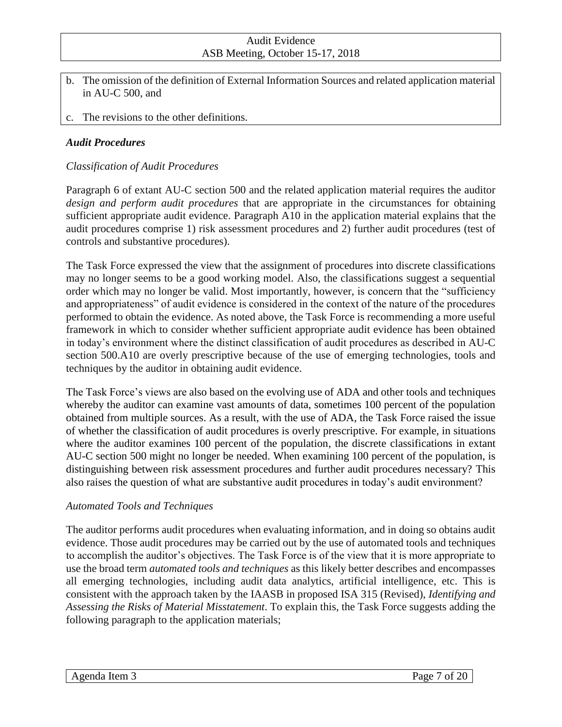- b. The omission of the definition of External Information Sources and related application material in AU-C 500, and
- The revisions to the other definitions.

#### *Audit Procedures*

#### *Classification of Audit Procedures*

Paragraph 6 of extant AU-C section 500 and the related application material requires the auditor *design and perform audit procedures* that are appropriate in the circumstances for obtaining sufficient appropriate audit evidence. Paragraph A10 in the application material explains that the audit procedures comprise 1) risk assessment procedures and 2) further audit procedures (test of controls and substantive procedures).

The Task Force expressed the view that the assignment of procedures into discrete classifications may no longer seems to be a good working model. Also, the classifications suggest a sequential order which may no longer be valid. Most importantly, however, is concern that the "sufficiency and appropriateness" of audit evidence is considered in the context of the nature of the procedures performed to obtain the evidence. As noted above, the Task Force is recommending a more useful framework in which to consider whether sufficient appropriate audit evidence has been obtained in today's environment where the distinct classification of audit procedures as described in AU-C section 500.A10 are overly prescriptive because of the use of emerging technologies, tools and techniques by the auditor in obtaining audit evidence.

The Task Force's views are also based on the evolving use of ADA and other tools and techniques whereby the auditor can examine vast amounts of data, sometimes 100 percent of the population obtained from multiple sources. As a result, with the use of ADA, the Task Force raised the issue of whether the classification of audit procedures is overly prescriptive. For example, in situations where the auditor examines 100 percent of the population, the discrete classifications in extant AU-C section 500 might no longer be needed. When examining 100 percent of the population, is distinguishing between risk assessment procedures and further audit procedures necessary? This also raises the question of what are substantive audit procedures in today's audit environment?

#### *Automated Tools and Techniques*

The auditor performs audit procedures when evaluating information, and in doing so obtains audit evidence. Those audit procedures may be carried out by the use of automated tools and techniques to accomplish the auditor's objectives. The Task Force is of the view that it is more appropriate to use the broad term *automated tools and techniques* as this likely better describes and encompasses all emerging technologies, including audit data analytics, artificial intelligence, etc. This is consistent with the approach taken by the IAASB in proposed ISA 315 (Revised), *Identifying and Assessing the Risks of Material Misstatement*. To explain this, the Task Force suggests adding the following paragraph to the application materials;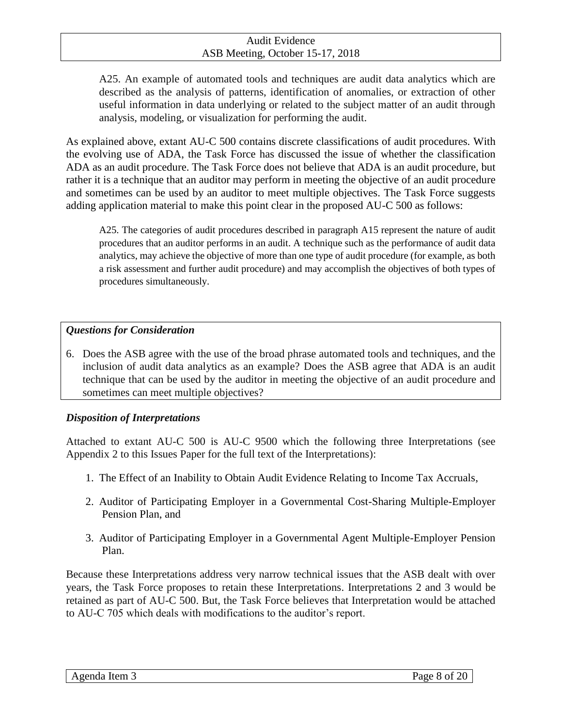A25. An example of automated tools and techniques are audit data analytics which are described as the analysis of patterns, identification of anomalies, or extraction of other useful information in data underlying or related to the subject matter of an audit through analysis, modeling, or visualization for performing the audit.

As explained above, extant AU-C 500 contains discrete classifications of audit procedures. With the evolving use of ADA, the Task Force has discussed the issue of whether the classification ADA as an audit procedure. The Task Force does not believe that ADA is an audit procedure, but rather it is a technique that an auditor may perform in meeting the objective of an audit procedure and sometimes can be used by an auditor to meet multiple objectives. The Task Force suggests adding application material to make this point clear in the proposed AU-C 500 as follows:

A25. The categories of audit procedures described in paragraph A15 represent the nature of audit procedures that an auditor performs in an audit. A technique such as the performance of audit data analytics, may achieve the objective of more than one type of audit procedure (for example, as both a risk assessment and further audit procedure) and may accomplish the objectives of both types of procedures simultaneously.

#### *Questions for Consideration*

6. Does the ASB agree with the use of the broad phrase automated tools and techniques, and the inclusion of audit data analytics as an example? Does the ASB agree that ADA is an audit technique that can be used by the auditor in meeting the objective of an audit procedure and sometimes can meet multiple objectives?

# *Disposition of Interpretations*

Attached to extant AU-C 500 is AU-C 9500 which the following three Interpretations (see Appendix 2 to this Issues Paper for the full text of the Interpretations):

- 1. The Effect of an Inability to Obtain Audit Evidence Relating to Income Tax Accruals,
- 2. Auditor of Participating Employer in a Governmental Cost-Sharing Multiple-Employer Pension Plan, and
- 3. Auditor of Participating Employer in a Governmental Agent Multiple-Employer Pension Plan.

Because these Interpretations address very narrow technical issues that the ASB dealt with over years, the Task Force proposes to retain these Interpretations. Interpretations 2 and 3 would be retained as part of AU-C 500. But, the Task Force believes that Interpretation would be attached to AU-C 705 which deals with modifications to the auditor's report.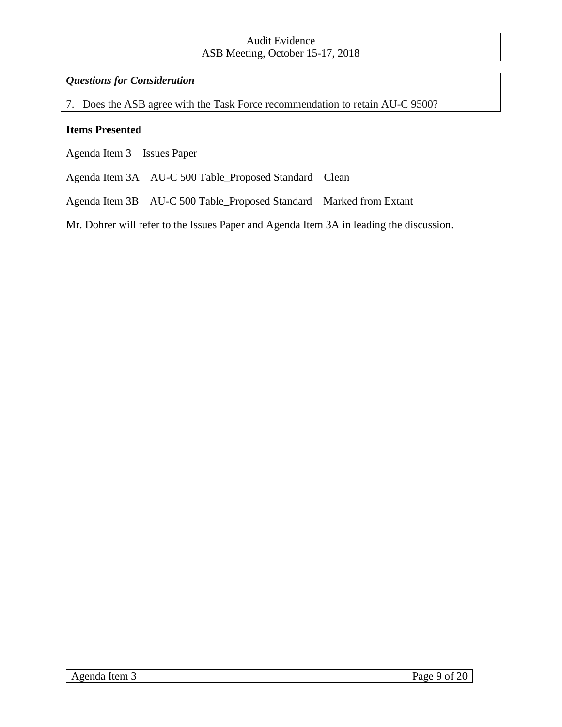#### *Questions for Consideration*

7. Does the ASB agree with the Task Force recommendation to retain AU-C 9500?

#### **Items Presented**

Agenda Item 3 – Issues Paper

Agenda Item 3A – AU-C 500 Table\_Proposed Standard – Clean

Agenda Item 3B – AU-C 500 Table\_Proposed Standard – Marked from Extant

Mr. Dohrer will refer to the Issues Paper and Agenda Item 3A in leading the discussion.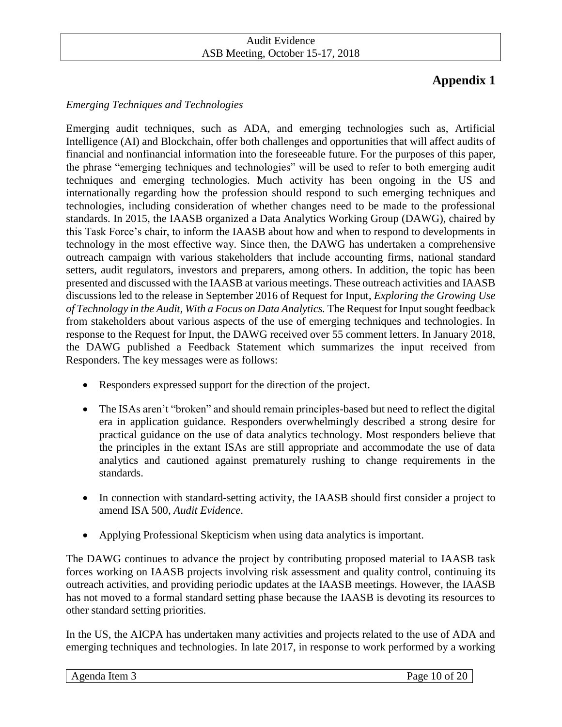# **Appendix 1**

# *Emerging Techniques and Technologies*

Emerging audit techniques, such as ADA, and emerging technologies such as, Artificial Intelligence (AI) and Blockchain, offer both challenges and opportunities that will affect audits of financial and nonfinancial information into the foreseeable future. For the purposes of this paper, the phrase "emerging techniques and technologies" will be used to refer to both emerging audit techniques and emerging technologies. Much activity has been ongoing in the US and internationally regarding how the profession should respond to such emerging techniques and technologies, including consideration of whether changes need to be made to the professional standards. In 2015, the IAASB organized a Data Analytics Working Group (DAWG), chaired by this Task Force's chair, to inform the IAASB about how and when to respond to developments in technology in the most effective way. Since then, the DAWG has undertaken a comprehensive outreach campaign with various stakeholders that include accounting firms, national standard setters, audit regulators, investors and preparers, among others. In addition, the topic has been presented and discussed with the IAASB at various meetings. These outreach activities and IAASB discussions led to the release in September 2016 of Request for Input, *Exploring the Growing Use of Technology in the Audit, With a Focus on Data Analytics.* The Request for Input sought feedback from stakeholders about various aspects of the use of emerging techniques and technologies. In response to the Request for Input, the DAWG received over 55 comment letters. In January 2018, the DAWG published a Feedback Statement which summarizes the input received from Responders. The key messages were as follows:

- Responders expressed support for the direction of the project.
- The ISAs aren't "broken" and should remain principles-based but need to reflect the digital era in application guidance. Responders overwhelmingly described a strong desire for practical guidance on the use of data analytics technology. Most responders believe that the principles in the extant ISAs are still appropriate and accommodate the use of data analytics and cautioned against prematurely rushing to change requirements in the standards.
- In connection with standard-setting activity, the IAASB should first consider a project to amend ISA 500, *Audit Evidence*.
- Applying Professional Skepticism when using data analytics is important.

The DAWG continues to advance the project by contributing proposed material to IAASB task forces working on IAASB projects involving risk assessment and quality control, continuing its outreach activities, and providing periodic updates at the IAASB meetings. However, the IAASB has not moved to a formal standard setting phase because the IAASB is devoting its resources to other standard setting priorities.

In the US, the AICPA has undertaken many activities and projects related to the use of ADA and emerging techniques and technologies. In late 2017, in response to work performed by a working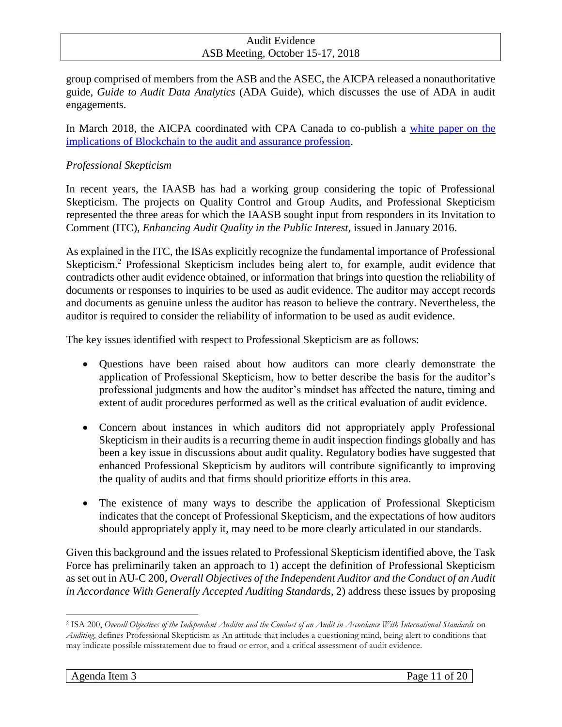group comprised of members from the ASB and the ASEC, the AICPA released a nonauthoritative guide, *Guide to Audit Data Analytics* (ADA Guide), which discusses the use of ADA in audit engagements.

In March 2018, the AICPA coordinated with CPA Canada to co-publish a [white paper on the](https://www.aicpa.org/interestareas/frc/assuranceadvisoryservices/blockchain-impact-on-auditing.html)  [implications of Blockchain to the audit and assurance profession.](https://www.aicpa.org/interestareas/frc/assuranceadvisoryservices/blockchain-impact-on-auditing.html)

#### *Professional Skepticism*

In recent years, the IAASB has had a working group considering the topic of Professional Skepticism. The projects on Quality Control and Group Audits, and Professional Skepticism represented the three areas for which the IAASB sought input from responders in its Invitation to Comment (ITC), *Enhancing Audit Quality in the Public Interest,* issued in January 2016.

As explained in the ITC, the ISAs explicitly recognize the fundamental importance of Professional Skepticism.<sup>2</sup> Professional Skepticism includes being alert to, for example, audit evidence that contradicts other audit evidence obtained, or information that brings into question the reliability of documents or responses to inquiries to be used as audit evidence. The auditor may accept records and documents as genuine unless the auditor has reason to believe the contrary. Nevertheless, the auditor is required to consider the reliability of information to be used as audit evidence.

The key issues identified with respect to Professional Skepticism are as follows:

- Questions have been raised about how auditors can more clearly demonstrate the application of Professional Skepticism, how to better describe the basis for the auditor's professional judgments and how the auditor's mindset has affected the nature, timing and extent of audit procedures performed as well as the critical evaluation of audit evidence.
- Concern about instances in which auditors did not appropriately apply Professional Skepticism in their audits is a recurring theme in audit inspection findings globally and has been a key issue in discussions about audit quality. Regulatory bodies have suggested that enhanced Professional Skepticism by auditors will contribute significantly to improving the quality of audits and that firms should prioritize efforts in this area.
- The existence of many ways to describe the application of Professional Skepticism indicates that the concept of Professional Skepticism, and the expectations of how auditors should appropriately apply it, may need to be more clearly articulated in our standards.

Given this background and the issues related to Professional Skepticism identified above, the Task Force has preliminarily taken an approach to 1) accept the definition of Professional Skepticism as set out in AU-C 200, *Overall Objectives of the Independent Auditor and the Conduct of an Audit in Accordance With Generally Accepted Auditing Standards*, 2) address these issues by proposing

<sup>2</sup> ISA 200, *Overall Objectives of the Independent Auditor and the Conduct of an Audit in Accordance With International Standards* on *Auditing,* defines Professional Skepticism as An attitude that includes a questioning mind, being alert to conditions that may indicate possible misstatement due to fraud or error, and a critical assessment of audit evidence.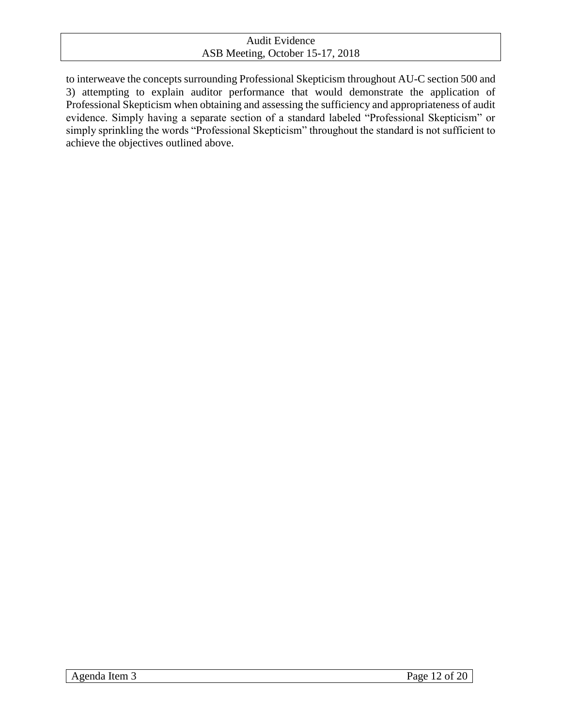to interweave the concepts surrounding Professional Skepticism throughout AU-C section 500 and 3) attempting to explain auditor performance that would demonstrate the application of Professional Skepticism when obtaining and assessing the sufficiency and appropriateness of audit evidence. Simply having a separate section of a standard labeled "Professional Skepticism" or simply sprinkling the words "Professional Skepticism" throughout the standard is not sufficient to achieve the objectives outlined above.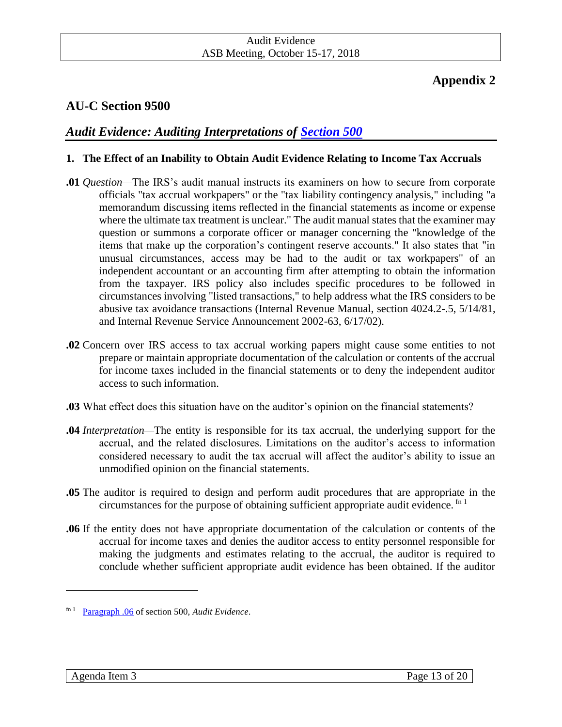# **Appendix 2**

# **AU-C Section 9500**

# *Audit Evidence: Auditing Interpretations of Section 500*

#### **1. The Effect of an Inability to Obtain Audit Evidence Relating to Income Tax Accruals**

- **.01** *Question—*The IRS's audit manual instructs its examiners on how to secure from corporate officials "tax accrual workpapers" or the "tax liability contingency analysis," including "a memorandum discussing items reflected in the financial statements as income or expense where the ultimate tax treatment is unclear." The audit manual states that the examiner may question or summons a corporate officer or manager concerning the "knowledge of the items that make up the corporation's contingent reserve accounts." It also states that "in unusual circumstances, access may be had to the audit or tax workpapers" of an independent accountant or an accounting firm after attempting to obtain the information from the taxpayer. IRS policy also includes specific procedures to be followed in circumstances involving "listed transactions," to help address what the IRS considers to be abusive tax avoidance transactions (Internal Revenue Manual, section 4024.2-.5, 5/14/81, and Internal Revenue Service Announcement 2002-63, 6/17/02).
- **.02** Concern over IRS access to tax accrual working papers might cause some entities to not prepare or maintain appropriate documentation of the calculation or contents of the accrual for income taxes included in the financial statements or to deny the independent auditor access to such information.
- **.03** What effect does this situation have on the auditor's opinion on the financial statements?
- **.04** *Interpretation—*The entity is responsible for its tax accrual, the underlying support for the accrual, and the related disclosures. Limitations on the auditor's access to information considered necessary to audit the tax accrual will affect the auditor's ability to issue an unmodified opinion on the financial statements.
- **.05** The auditor is required to design and perform audit procedures that are appropriate in the circumstances for the purpose of obtaining sufficient appropriate audit evidence.  $\sin^{-1}$
- **.06** If the entity does not have appropriate documentation of the calculation or contents of the accrual for income taxes and denies the auditor access to entity personnel responsible for making the judgments and estimates relating to the accrual, the auditor is required to conclude whether sufficient appropriate audit evidence has been obtained. If the auditor

fn 1 Paragraph .06 of section 500, *Audit Evidence*.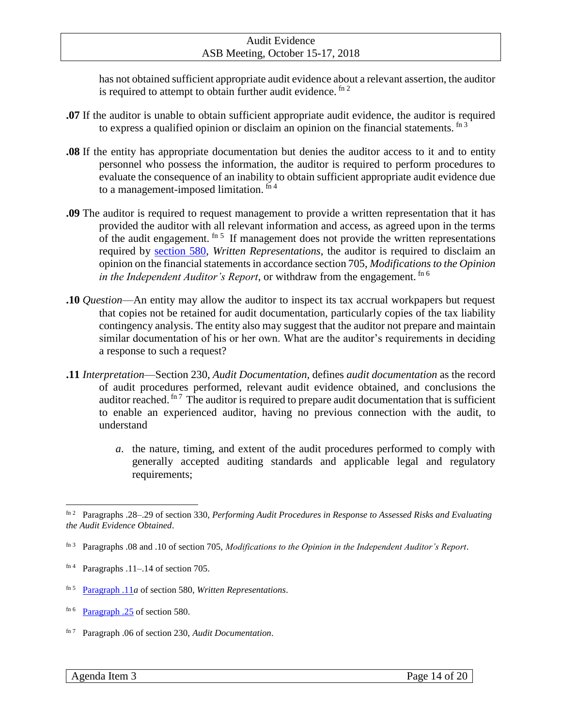has not obtained sufficient appropriate audit evidence about a relevant assertion, the auditor is required to attempt to obtain further audit evidence.  $\ln^2$ 

- **.07** If the auditor is unable to obtain sufficient appropriate audit evidence, the auditor is required to express a qualified opinion or disclaim an opinion on the financial statements.  $\sin^3$
- **.08** If the entity has appropriate documentation but denies the auditor access to it and to entity personnel who possess the information, the auditor is required to perform procedures to evaluate the consequence of an inability to obtain sufficient appropriate audit evidence due to a management-imposed limitation.  $\sin^4$
- **.09** The auditor is required to request management to provide a written representation that it has provided the auditor with all relevant information and access, as agreed upon in the terms of the audit engagement.  $\sin^5$  If management does not provide the written representations required by section 580, *Written Representations*, the auditor is required to disclaim an opinion on the financial statements in accordance section 705, *Modifications to the Opinion in the Independent Auditor's Report*, or withdraw from the engagement. <sup>fn 6</sup>
- **.10** *Question*—An entity may allow the auditor to inspect its tax accrual workpapers but request that copies not be retained for audit documentation, particularly copies of the tax liability contingency analysis. The entity also may suggest that the auditor not prepare and maintain similar documentation of his or her own. What are the auditor's requirements in deciding a response to such a request?
- <span id="page-13-0"></span>**.11** *Interpretation*—Section 230, *Audit Documentation*, defines *audit documentation* as the record of audit procedures performed, relevant audit evidence obtained, and conclusions the auditor reached.  $\frac{\ln 7}{2}$  The auditor is required to prepare audit documentation that is sufficient to enable an experienced auditor, having no previous connection with the audit, to understand
	- *a*. the nature, timing, and extent of the audit procedures performed to comply with generally accepted auditing standards and applicable legal and regulatory requirements;

- fn 5 Paragraph .11*a* of section 580, *Written Representations*.
- fn 6 Paragraph .25 of section 580.
- fn 7 Paragraph .06 of section 230, *Audit Documentation*.

fn 2 Paragraphs .28–.29 of section 330, *Performing Audit Procedures in Response to Assessed Risks and Evaluating the Audit Evidence Obtained*.

fn 3 Paragraphs .08 and .10 of section 705, *Modifications to the Opinion in the Independent Auditor's Report*.

 $<sup>fn 4</sup>$  Paragraphs .11–.14 of section 705.</sup>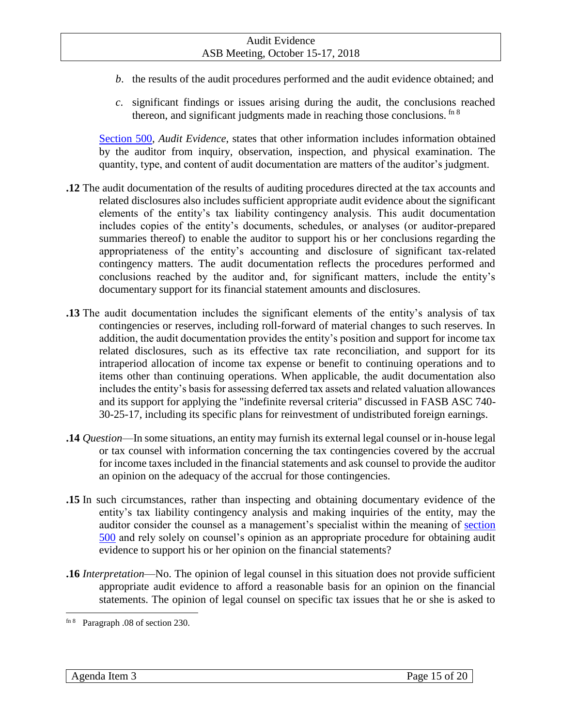- *b*. the results of the audit procedures performed and the audit evidence obtained; and
- *c*. significant findings or issues arising during the audit, the conclusions reached thereon, and significant judgments made in reaching those conclusions.  $\text{fn 8}$

Section 500, *Audit Evidence*, states that other information includes information obtained by the auditor from inquiry, observation, inspection, and physical examination. The quantity, type, and content of audit documentation are matters of the auditor's judgment.

- **.12** The audit documentation of the results of auditing procedures directed at the tax accounts and related disclosures also includes sufficient appropriate audit evidence about the significant elements of the entity's tax liability contingency analysis. This audit documentation includes copies of the entity's documents, schedules, or analyses (or auditor-prepared summaries thereof) to enable the auditor to support his or her conclusions regarding the appropriateness of the entity's accounting and disclosure of significant tax-related contingency matters. The audit documentation reflects the procedures performed and conclusions reached by the auditor and, for significant matters, include the entity's documentary support for its financial statement amounts and disclosures.
- **.13** The audit documentation includes the significant elements of the entity's analysis of tax contingencies or reserves, including roll-forward of material changes to such reserves. In addition, the audit documentation provides the entity's position and support for income tax related disclosures, such as its effective tax rate reconciliation, and support for its intraperiod allocation of income tax expense or benefit to continuing operations and to items other than continuing operations. When applicable, the audit documentation also includes the entity's basis for assessing deferred tax assets and related valuation allowances and its support for applying the "indefinite reversal criteria" discussed in FASB ASC 740- 30-25-17, including its specific plans for reinvestment of undistributed foreign earnings.
- **.14** *Question*—In some situations, an entity may furnish its external legal counsel or in-house legal or tax counsel with information concerning the tax contingencies covered by the accrual for income taxes included in the financial statements and ask counsel to provide the auditor an opinion on the adequacy of the accrual for those contingencies.
- **.15** In such circumstances, rather than inspecting and obtaining documentary evidence of the entity's tax liability contingency analysis and making inquiries of the entity, may the auditor consider the counsel as a management's specialist within the meaning of section 500 and rely solely on counsel's opinion as an appropriate procedure for obtaining audit evidence to support his or her opinion on the financial statements?
- <span id="page-14-0"></span>**.16** *Interpretation*—No. The opinion of legal counsel in this situation does not provide sufficient appropriate audit evidence to afford a reasonable basis for an opinion on the financial statements. The opinion of legal counsel on specific tax issues that he or she is asked to

fn 8 Paragraph .08 of section 230.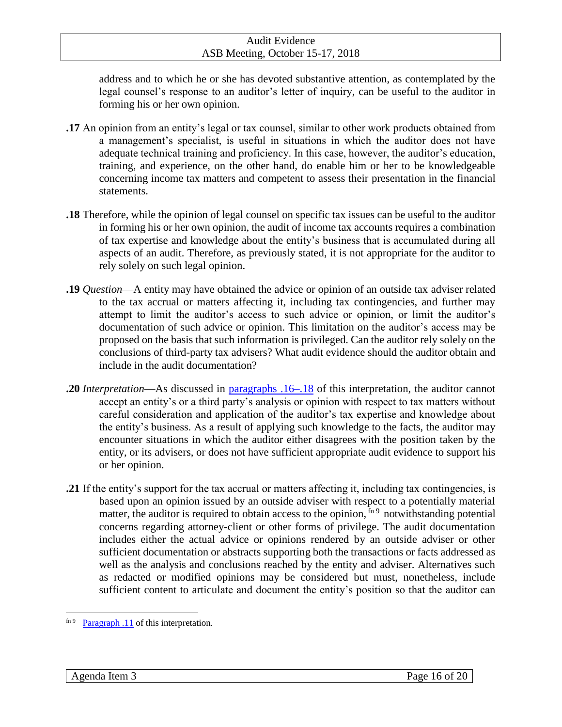address and to which he or she has devoted substantive attention, as contemplated by the legal counsel's response to an auditor's letter of inquiry, can be useful to the auditor in forming his or her own opinion.

- **.17** An opinion from an entity's legal or tax counsel, similar to other work products obtained from a management's specialist, is useful in situations in which the auditor does not have adequate technical training and proficiency. In this case, however, the auditor's education, training, and experience, on the other hand, do enable him or her to be knowledgeable concerning income tax matters and competent to assess their presentation in the financial statements.
- **.18** Therefore, while the opinion of legal counsel on specific tax issues can be useful to the auditor in forming his or her own opinion, the audit of income tax accounts requires a combination of tax expertise and knowledge about the entity's business that is accumulated during all aspects of an audit. Therefore, as previously stated, it is not appropriate for the auditor to rely solely on such legal opinion.
- **.19** *Question*—A entity may have obtained the advice or opinion of an outside tax adviser related to the tax accrual or matters affecting it, including tax contingencies, and further may attempt to limit the auditor's access to such advice or opinion, or limit the auditor's documentation of such advice or opinion. This limitation on the auditor's access may be proposed on the basis that such information is privileged. Can the auditor rely solely on the conclusions of third-party tax advisers? What audit evidence should the auditor obtain and include in the audit documentation?
- **.20** *Interpretation*—As discussed in [paragraphs .16–.18](#page-14-0) of this interpretation, the auditor cannot accept an entity's or a third party's analysis or opinion with respect to tax matters without careful consideration and application of the auditor's tax expertise and knowledge about the entity's business. As a result of applying such knowledge to the facts, the auditor may encounter situations in which the auditor either disagrees with the position taken by the entity, or its advisers, or does not have sufficient appropriate audit evidence to support his or her opinion.
- **.21** If the entity's support for the tax accrual or matters affecting it, including tax contingencies, is based upon an opinion issued by an outside adviser with respect to a potentially material matter, the auditor is required to obtain access to the opinion,  $\hat{f}^{n9}$  notwithstanding potential concerns regarding attorney-client or other forms of privilege. The audit documentation includes either the actual advice or opinions rendered by an outside adviser or other sufficient documentation or abstracts supporting both the transactions or facts addressed as well as the analysis and conclusions reached by the entity and adviser. Alternatives such as redacted or modified opinions may be considered but must, nonetheless, include sufficient content to articulate and document the entity's position so that the auditor can

 $\overline{a}$ fn 9 [Paragraph .11](#page-13-0) of this interpretation.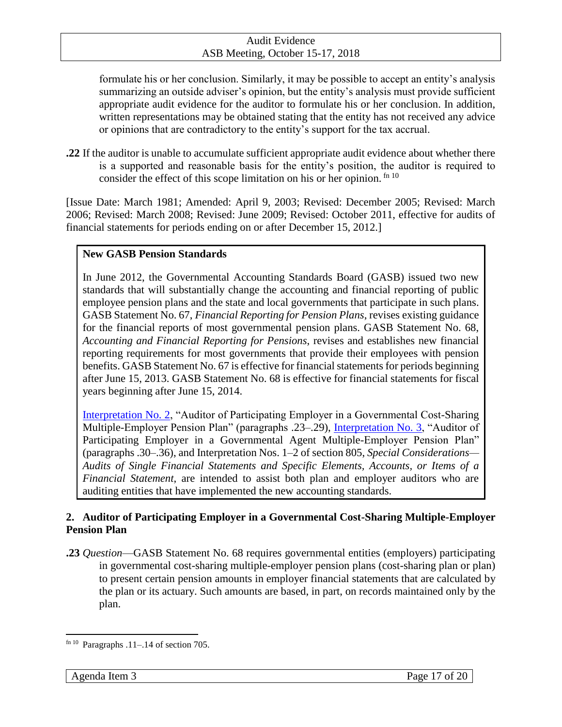formulate his or her conclusion. Similarly, it may be possible to accept an entity's analysis summarizing an outside adviser's opinion, but the entity's analysis must provide sufficient appropriate audit evidence for the auditor to formulate his or her conclusion. In addition, written representations may be obtained stating that the entity has not received any advice or opinions that are contradictory to the entity's support for the tax accrual.

**.22** If the auditor is unable to accumulate sufficient appropriate audit evidence about whether there is a supported and reasonable basis for the entity's position, the auditor is required to consider the effect of this scope limitation on his or her opinion.  $\text{fn }10$ 

[Issue Date: March 1981; Amended: April 9, 2003; Revised: December 2005; Revised: March 2006; Revised: March 2008; Revised: June 2009; Revised: October 2011, effective for audits of financial statements for periods ending on or after December 15, 2012.]

# **New GASB Pension Standards**

In June 2012, the Governmental Accounting Standards Board (GASB) issued two new standards that will substantially change the accounting and financial reporting of public employee pension plans and the state and local governments that participate in such plans. GASB Statement No. 67, *Financial Reporting for Pension Plans*, revises existing guidance for the financial reports of most governmental pension plans. GASB Statement No. 68, *Accounting and Financial Reporting for Pensions*, revises and establishes new financial reporting requirements for most governments that provide their employees with pension benefits. GASB Statement No. 67 is effective for financial statements for periods beginning after June 15, 2013. GASB Statement No. 68 is effective for financial statements for fiscal years beginning after June 15, 2014.

[Interpretation No. 2,](#page-16-0) "Auditor of Participating Employer in a Governmental Cost-Sharing Multiple-Employer Pension Plan" (paragraphs .23–.29), [Interpretation No. 3,](#page-18-0) "Auditor of Participating Employer in a Governmental Agent Multiple-Employer Pension Plan" (paragraphs .30–.36), and Interpretation Nos. 1–2 of section 805, *Special Considerations— Audits of Single Financial Statements and Specific Elements, Accounts, or Items of a Financial Statement*, are intended to assist both plan and employer auditors who are auditing entities that have implemented the new accounting standards.

#### <span id="page-16-0"></span>**2. Auditor of Participating Employer in a Governmental Cost-Sharing Multiple-Employer Pension Plan**

**.23** *Question*—GASB Statement No. 68 requires governmental entities (employers) participating in governmental cost-sharing multiple-employer pension plans (cost-sharing plan or plan) to present certain pension amounts in employer financial statements that are calculated by the plan or its actuary. Such amounts are based, in part, on records maintained only by the plan.

 $\overline{a}$  $<sup>fn 10</sup>$  Paragraphs .11–.14 of section 705.</sup>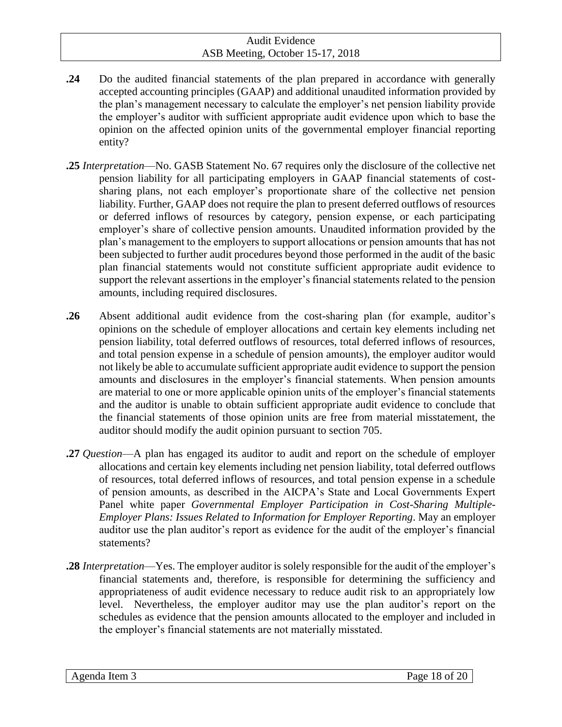- **.24** Do the audited financial statements of the plan prepared in accordance with generally accepted accounting principles (GAAP) and additional unaudited information provided by the plan's management necessary to calculate the employer's net pension liability provide the employer's auditor with sufficient appropriate audit evidence upon which to base the opinion on the affected opinion units of the governmental employer financial reporting entity?
- **.25** *Interpretation*—No. GASB Statement No. 67 requires only the disclosure of the collective net pension liability for all participating employers in GAAP financial statements of costsharing plans, not each employer's proportionate share of the collective net pension liability. Further, GAAP does not require the plan to present deferred outflows of resources or deferred inflows of resources by category, pension expense, or each participating employer's share of collective pension amounts. Unaudited information provided by the plan's management to the employers to support allocations or pension amounts that has not been subjected to further audit procedures beyond those performed in the audit of the basic plan financial statements would not constitute sufficient appropriate audit evidence to support the relevant assertions in the employer's financial statements related to the pension amounts, including required disclosures.
- **.26** Absent additional audit evidence from the cost-sharing plan (for example, auditor's opinions on the schedule of employer allocations and certain key elements including net pension liability, total deferred outflows of resources, total deferred inflows of resources, and total pension expense in a schedule of pension amounts), the employer auditor would not likely be able to accumulate sufficient appropriate audit evidence to support the pension amounts and disclosures in the employer's financial statements. When pension amounts are material to one or more applicable opinion units of the employer's financial statements and the auditor is unable to obtain sufficient appropriate audit evidence to conclude that the financial statements of those opinion units are free from material misstatement, the auditor should modify the audit opinion pursuant to section 705.
- **.27** *Question*—A plan has engaged its auditor to audit and report on the schedule of employer allocations and certain key elements including net pension liability, total deferred outflows of resources, total deferred inflows of resources, and total pension expense in a schedule of pension amounts, as described in the AICPA's State and Local Governments Expert Panel white paper *Governmental Employer Participation in Cost-Sharing Multiple-Employer Plans: Issues Related to Information for Employer Reporting*. May an employer auditor use the plan auditor's report as evidence for the audit of the employer's financial statements?
- **.28** *Interpretation*—Yes. The employer auditor is solely responsible for the audit of the employer's financial statements and, therefore, is responsible for determining the sufficiency and appropriateness of audit evidence necessary to reduce audit risk to an appropriately low level. Nevertheless, the employer auditor may use the plan auditor's report on the schedules as evidence that the pension amounts allocated to the employer and included in the employer's financial statements are not materially misstated.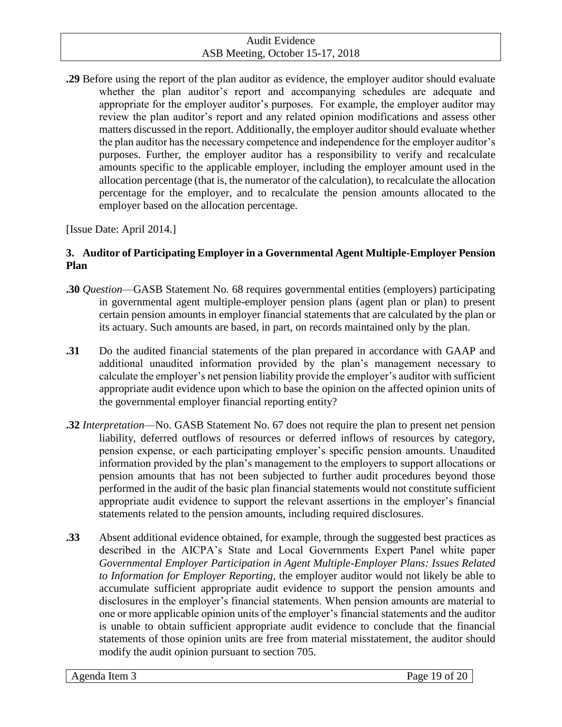**.29** Before using the report of the plan auditor as evidence, the employer auditor should evaluate whether the plan auditor's report and accompanying schedules are adequate and appropriate for the employer auditor's purposes. For example, the employer auditor may review the plan auditor's report and any related opinion modifications and assess other matters discussed in the report. Additionally, the employer auditor should evaluate whether the plan auditor has the necessary competence and independence for the employer auditor's purposes. Further, the employer auditor has a responsibility to verify and recalculate amounts specific to the applicable employer, including the employer amount used in the allocation percentage (that is, the numerator of the calculation), to recalculate the allocation percentage for the employer, and to recalculate the pension amounts allocated to the employer based on the allocation percentage.

[Issue Date: April 2014.]

#### <span id="page-18-0"></span>**3. Auditor of Participating Employer in a Governmental Agent Multiple-Employer Pension Plan**

- **.30** *Question*—GASB Statement No. 68 requires governmental entities (employers) participating in governmental agent multiple-employer pension plans (agent plan or plan) to present certain pension amounts in employer financial statements that are calculated by the plan or its actuary. Such amounts are based, in part, on records maintained only by the plan.
- **.31** Do the audited financial statements of the plan prepared in accordance with GAAP and additional unaudited information provided by the plan's management necessary to calculate the employer's net pension liability provide the employer's auditor with sufficient appropriate audit evidence upon which to base the opinion on the affected opinion units of the governmental employer financial reporting entity?
- **.32** *Interpretation*—No. GASB Statement No. 67 does not require the plan to present net pension liability, deferred outflows of resources or deferred inflows of resources by category, pension expense, or each participating employer's specific pension amounts. Unaudited information provided by the plan's management to the employers to support allocations or pension amounts that has not been subjected to further audit procedures beyond those performed in the audit of the basic plan financial statements would not constitute sufficient appropriate audit evidence to support the relevant assertions in the employer's financial statements related to the pension amounts, including required disclosures.
- <span id="page-18-1"></span>**.33** Absent additional evidence obtained, for example, through the suggested best practices as described in the AICPA's State and Local Governments Expert Panel white paper *Governmental Employer Participation in Agent Multiple-Employer Plans: Issues Related to Information for Employer Reporting*, the employer auditor would not likely be able to accumulate sufficient appropriate audit evidence to support the pension amounts and disclosures in the employer's financial statements. When pension amounts are material to one or more applicable opinion units of the employer's financial statements and the auditor is unable to obtain sufficient appropriate audit evidence to conclude that the financial statements of those opinion units are free from material misstatement, the auditor should modify the audit opinion pursuant to section 705.